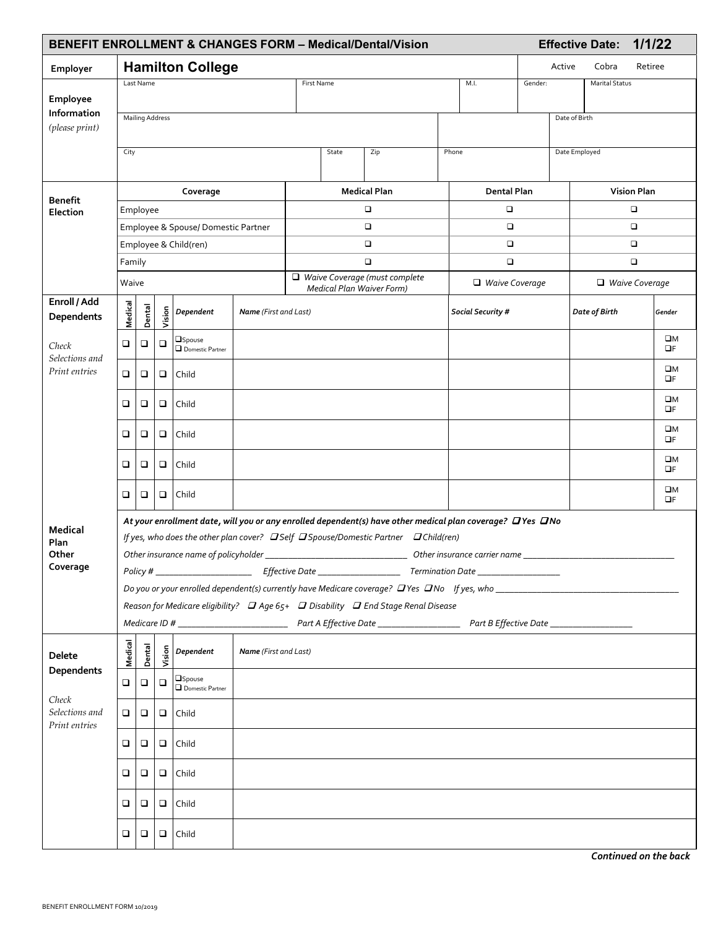| 1/1/22<br><b>BENEFIT ENROLLMENT &amp; CHANGES FORM - Medical/Dental/Vision</b><br><b>Effective Date:</b> |                                        |                                                                                                                                                                                                       |        |                                    |                              |                                  |  |                                                                                                           |                 |                                  |         |  |                       |                    |                         |
|----------------------------------------------------------------------------------------------------------|----------------------------------------|-------------------------------------------------------------------------------------------------------------------------------------------------------------------------------------------------------|--------|------------------------------------|------------------------------|----------------------------------|--|-----------------------------------------------------------------------------------------------------------|-----------------|----------------------------------|---------|--|-----------------------|--------------------|-------------------------|
| Employer                                                                                                 | <b>Hamilton College</b>                |                                                                                                                                                                                                       |        |                                    |                              |                                  |  |                                                                                                           | Active<br>Cobra |                                  | Retiree |  |                       |                    |                         |
|                                                                                                          |                                        | Last Name                                                                                                                                                                                             |        |                                    |                              | M.I.<br>First Name               |  |                                                                                                           |                 | Gender:<br><b>Marital Status</b> |         |  |                       |                    |                         |
| Employee                                                                                                 |                                        |                                                                                                                                                                                                       |        |                                    |                              |                                  |  |                                                                                                           |                 |                                  |         |  |                       |                    |                         |
| Information<br>(please print)                                                                            | <b>Mailing Address</b>                 |                                                                                                                                                                                                       |        |                                    |                              |                                  |  |                                                                                                           |                 | Date of Birth                    |         |  |                       |                    |                         |
|                                                                                                          |                                        |                                                                                                                                                                                                       |        |                                    |                              |                                  |  |                                                                                                           |                 |                                  |         |  |                       |                    |                         |
|                                                                                                          | City                                   |                                                                                                                                                                                                       |        |                                    |                              | State<br>Zip                     |  |                                                                                                           |                 | Phone<br>Date Employed           |         |  |                       |                    |                         |
|                                                                                                          |                                        |                                                                                                                                                                                                       |        |                                    |                              |                                  |  |                                                                                                           |                 |                                  |         |  |                       |                    |                         |
| <b>Benefit</b><br>Election                                                                               | Coverage                               |                                                                                                                                                                                                       |        |                                    |                              | <b>Medical Plan</b>              |  |                                                                                                           |                 | Dental Plan                      |         |  |                       | <b>Vision Plan</b> |                         |
|                                                                                                          | Employee                               |                                                                                                                                                                                                       |        |                                    |                              | $\Box$                           |  |                                                                                                           |                 | $\Box$<br>$\Box$                 |         |  | $\Box$<br>$\Box$      |                    |                         |
|                                                                                                          | Employee & Spouse/ Domestic Partner    |                                                                                                                                                                                                       |        |                                    |                              | о<br>o                           |  |                                                                                                           |                 | $\Box$                           |         |  | $\Box$                |                    |                         |
|                                                                                                          | Employee & Child(ren)<br>Family        |                                                                                                                                                                                                       |        |                                    |                              | $\Box$                           |  |                                                                                                           |                 | $\Box$                           |         |  | $\Box$                |                    |                         |
|                                                                                                          | Waive                                  |                                                                                                                                                                                                       |        |                                    |                              | Waive Coverage (must complete    |  |                                                                                                           |                 | $\Box$ Waive Coverage            |         |  | $\Box$ Waive Coverage |                    |                         |
| Enroll / Add                                                                                             |                                        |                                                                                                                                                                                                       |        |                                    |                              | <b>Medical Plan Waiver Form)</b> |  |                                                                                                           |                 |                                  |         |  |                       |                    |                         |
| Dependents                                                                                               | Medical                                | Dental                                                                                                                                                                                                | Vision | Dependent                          | <b>Name</b> (First and Last) |                                  |  |                                                                                                           |                 | Social Security #                |         |  | Date of Birth         |                    | Gender                  |
|                                                                                                          |                                        |                                                                                                                                                                                                       |        | <b>Spouse</b>                      |                              |                                  |  |                                                                                                           |                 |                                  |         |  |                       |                    | $\square M$             |
| Check<br>Selections and                                                                                  | □                                      | □                                                                                                                                                                                                     | $\Box$ | Domestic Partner                   |                              |                                  |  |                                                                                                           |                 |                                  |         |  |                       |                    | $\Box F$                |
| Print entries                                                                                            | $\Box$                                 | □                                                                                                                                                                                                     | ❏      | Child                              |                              |                                  |  |                                                                                                           |                 |                                  |         |  |                       |                    | $\square M$<br>OF       |
|                                                                                                          | □                                      | ❏                                                                                                                                                                                                     | $\Box$ | Child                              |                              |                                  |  |                                                                                                           |                 |                                  |         |  |                       |                    | $\square M$<br>OF       |
|                                                                                                          | ❏                                      | ❏                                                                                                                                                                                                     | $\Box$ | Child                              |                              |                                  |  |                                                                                                           |                 |                                  |         |  |                       |                    | ΠМ<br>$\Box F$          |
|                                                                                                          | □                                      | □                                                                                                                                                                                                     | $\Box$ | Child                              |                              |                                  |  |                                                                                                           |                 |                                  |         |  |                       |                    | $\square M$<br>$\Box F$ |
|                                                                                                          | $\Box$                                 | □                                                                                                                                                                                                     | $\Box$ | Child                              |                              |                                  |  |                                                                                                           |                 |                                  |         |  |                       |                    | $\square M$<br>$\Box F$ |
| <b>Medical</b>                                                                                           |                                        |                                                                                                                                                                                                       |        |                                    |                              |                                  |  | At your enrollment date, will you or any enrolled dependent(s) have other medical plan coverage? DYes DNo |                 |                                  |         |  |                       |                    |                         |
| Plan                                                                                                     |                                        |                                                                                                                                                                                                       |        |                                    |                              |                                  |  | If yes, who does the other plan cover? DSelf DSpouse/Domestic Partner DChild(ren)                         |                 |                                  |         |  |                       |                    |                         |
| Other<br>Coverage                                                                                        | Other insurance name of policyholder _ |                                                                                                                                                                                                       |        |                                    |                              | Other insurance carrier name     |  |                                                                                                           |                 |                                  |         |  |                       |                    |                         |
|                                                                                                          |                                        |                                                                                                                                                                                                       |        |                                    |                              |                                  |  |                                                                                                           |                 |                                  |         |  |                       |                    |                         |
|                                                                                                          |                                        | Do you or your enrolled dependent(s) currently have Medicare coverage? $D$ Yes $D$ No If yes, who<br>Reason for Medicare eligibility? $\Box$ Age 65+ $\Box$ Disability $\Box$ End Stage Renal Disease |        |                                    |                              |                                  |  |                                                                                                           |                 |                                  |         |  |                       |                    |                         |
|                                                                                                          |                                        |                                                                                                                                                                                                       |        |                                    |                              |                                  |  |                                                                                                           |                 |                                  |         |  |                       |                    |                         |
| Delete<br>Dependents<br>Check<br>Selections and<br>Print entries                                         | Medical                                | Dental                                                                                                                                                                                                | š      | $5$ Dependent                      | <b>Name</b> (First and Last) |                                  |  |                                                                                                           |                 |                                  |         |  |                       |                    |                         |
|                                                                                                          | □                                      | □                                                                                                                                                                                                     | $\Box$ | <b>OSpouse</b><br>Domestic Partner |                              |                                  |  |                                                                                                           |                 |                                  |         |  |                       |                    |                         |
|                                                                                                          | □                                      | □                                                                                                                                                                                                     |        | $\Box$ Child                       |                              |                                  |  |                                                                                                           |                 |                                  |         |  |                       |                    |                         |
|                                                                                                          | □                                      | □                                                                                                                                                                                                     |        | $\Box$ Child                       |                              |                                  |  |                                                                                                           |                 |                                  |         |  |                       |                    |                         |
|                                                                                                          | ❏                                      | ❏                                                                                                                                                                                                     |        | $\Box$ Child                       |                              |                                  |  |                                                                                                           |                 |                                  |         |  |                       |                    |                         |
|                                                                                                          | □                                      | □                                                                                                                                                                                                     | $\Box$ | Child                              |                              |                                  |  |                                                                                                           |                 |                                  |         |  |                       |                    |                         |
|                                                                                                          | □                                      | □                                                                                                                                                                                                     | $\Box$ | Child                              |                              |                                  |  |                                                                                                           |                 |                                  |         |  |                       |                    |                         |